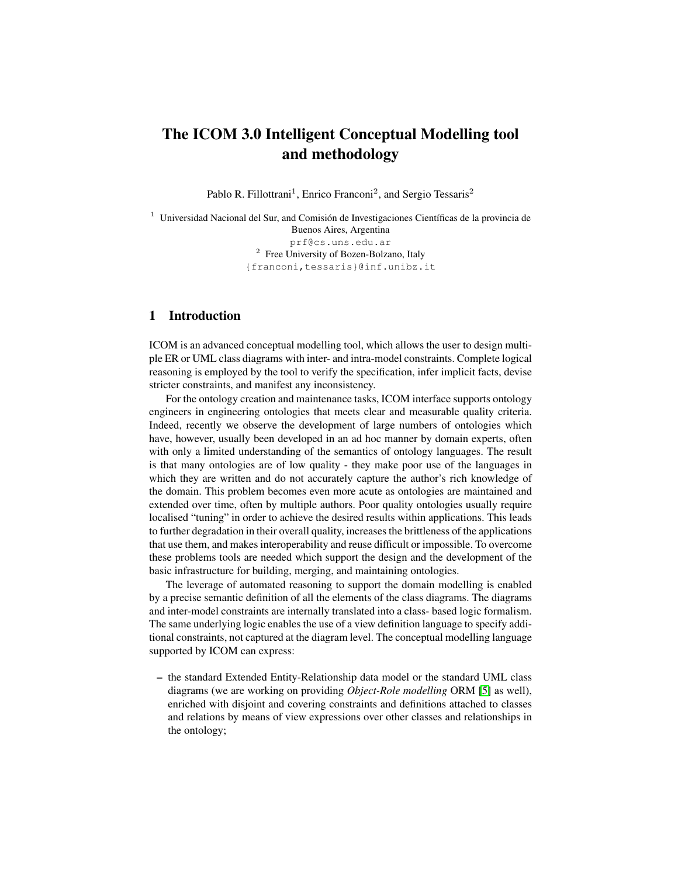# The ICOM 3.0 Intelligent Conceptual Modelling tool and methodology

Pablo R. Fillottrani<sup>1</sup>, Enrico Franconi<sup>2</sup>, and Sergio Tessaris<sup>2</sup>

<sup>1</sup> Universidad Nacional del Sur, and Comisión de Investigaciones Científicas de la provincia de Buenos Aires, Argentina prf@cs.uns.edu.ar <sup>2</sup> Free University of Bozen-Bolzano, Italy {franconi,tessaris}@inf.unibz.it

## 1 Introduction

ICOM is an advanced conceptual modelling tool, which allows the user to design multiple ER or UML class diagrams with inter- and intra-model constraints. Complete logical reasoning is employed by the tool to verify the specification, infer implicit facts, devise stricter constraints, and manifest any inconsistency.

For the ontology creation and maintenance tasks, ICOM interface supports ontology engineers in engineering ontologies that meets clear and measurable quality criteria. Indeed, recently we observe the development of large numbers of ontologies which have, however, usually been developed in an ad hoc manner by domain experts, often with only a limited understanding of the semantics of ontology languages. The result is that many ontologies are of low quality - they make poor use of the languages in which they are written and do not accurately capture the author's rich knowledge of the domain. This problem becomes even more acute as ontologies are maintained and extended over time, often by multiple authors. Poor quality ontologies usually require localised "tuning" in order to achieve the desired results within applications. This leads to further degradation in their overall quality, increases the brittleness of the applications that use them, and makes interoperability and reuse difficult or impossible. To overcome these problems tools are needed which support the design and the development of the basic infrastructure for building, merging, and maintaining ontologies.

The leverage of automated reasoning to support the domain modelling is enabled by a precise semantic definition of all the elements of the class diagrams. The diagrams and inter-model constraints are internally translated into a class- based logic formalism. The same underlying logic enables the use of a view definition language to specify additional constraints, not captured at the diagram level. The conceptual modelling language supported by ICOM can express:

– the standard Extended Entity-Relationship data model or the standard UML class diagrams (we are working on providing *Object-Role modelling* ORM [\[5\]](#page-9-0) as well), enriched with disjoint and covering constraints and definitions attached to classes and relations by means of view expressions over other classes and relationships in the ontology;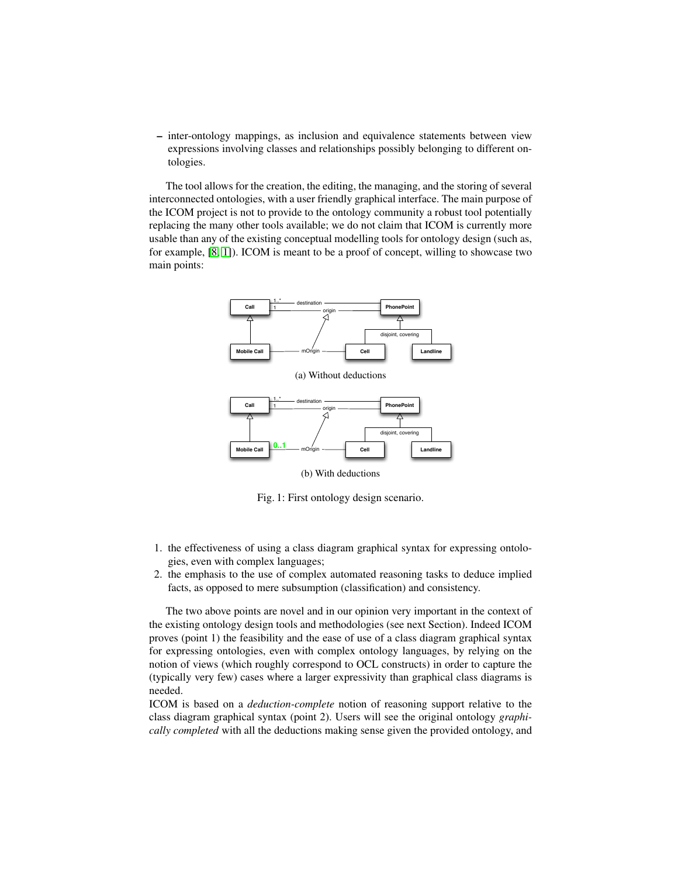– inter-ontology mappings, as inclusion and equivalence statements between view expressions involving classes and relationships possibly belonging to different ontologies.

The tool allows for the creation, the editing, the managing, and the storing of several interconnected ontologies, with a user friendly graphical interface. The main purpose of the ICOM project is not to provide to the ontology community a robust tool potentially replacing the many other tools available; we do not claim that ICOM is currently more usable than any of the existing conceptual modelling tools for ontology design (such as, for example, [\[8,](#page-9-1) [1\]](#page-9-2)). ICOM is meant to be a proof of concept, willing to showcase two main points:



(b) With deductions

Fig. 1: First ontology design scenario.

- 1. the effectiveness of using a class diagram graphical syntax for expressing ontologies, even with complex languages;
- 2. the emphasis to the use of complex automated reasoning tasks to deduce implied facts, as opposed to mere subsumption (classification) and consistency.

The two above points are novel and in our opinion very important in the context of the existing ontology design tools and methodologies (see next Section). Indeed ICOM proves (point 1) the feasibility and the ease of use of a class diagram graphical syntax for expressing ontologies, even with complex ontology languages, by relying on the notion of views (which roughly correspond to OCL constructs) in order to capture the (typically very few) cases where a larger expressivity than graphical class diagrams is needed.

ICOM is based on a *deduction-complete* notion of reasoning support relative to the class diagram graphical syntax (point 2). Users will see the original ontology *graphically completed* with all the deductions making sense given the provided ontology, and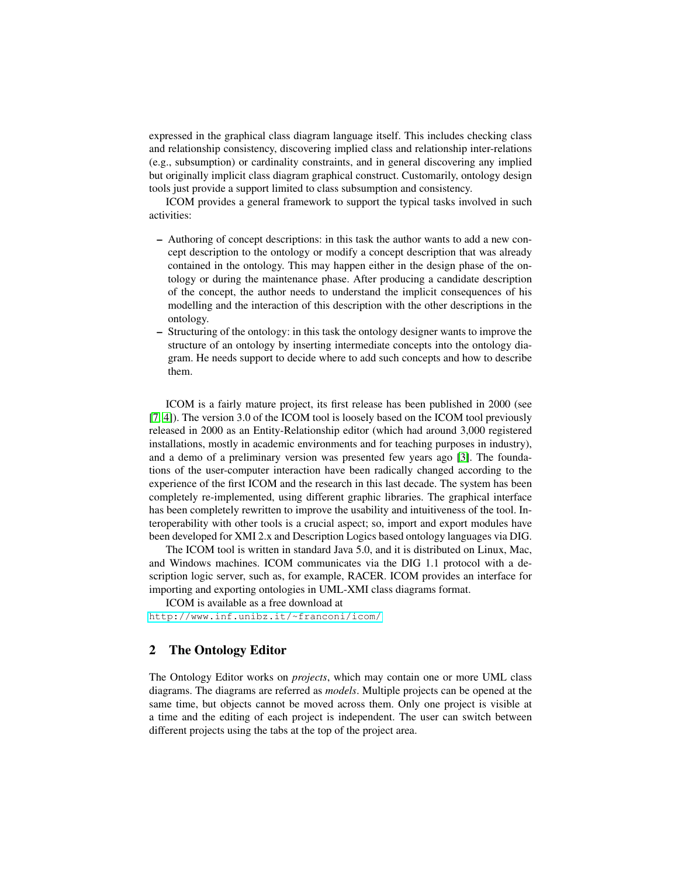expressed in the graphical class diagram language itself. This includes checking class and relationship consistency, discovering implied class and relationship inter-relations (e.g., subsumption) or cardinality constraints, and in general discovering any implied but originally implicit class diagram graphical construct. Customarily, ontology design tools just provide a support limited to class subsumption and consistency.

ICOM provides a general framework to support the typical tasks involved in such activities:

- Authoring of concept descriptions: in this task the author wants to add a new concept description to the ontology or modify a concept description that was already contained in the ontology. This may happen either in the design phase of the ontology or during the maintenance phase. After producing a candidate description of the concept, the author needs to understand the implicit consequences of his modelling and the interaction of this description with the other descriptions in the ontology.
- Structuring of the ontology: in this task the ontology designer wants to improve the structure of an ontology by inserting intermediate concepts into the ontology diagram. He needs support to decide where to add such concepts and how to describe them.

ICOM is a fairly mature project, its first release has been published in 2000 (see [\[7,](#page-9-3) [4\]](#page-9-4)). The version 3.0 of the ICOM tool is loosely based on the ICOM tool previously released in 2000 as an Entity-Relationship editor (which had around 3,000 registered installations, mostly in academic environments and for teaching purposes in industry), and a demo of a preliminary version was presented few years ago [\[3\]](#page-9-5). The foundations of the user-computer interaction have been radically changed according to the experience of the first ICOM and the research in this last decade. The system has been completely re-implemented, using different graphic libraries. The graphical interface has been completely rewritten to improve the usability and intuitiveness of the tool. Interoperability with other tools is a crucial aspect; so, import and export modules have been developed for XMI 2.x and Description Logics based ontology languages via DIG.

The ICOM tool is written in standard Java 5.0, and it is distributed on Linux, Mac, and Windows machines. ICOM communicates via the DIG 1.1 protocol with a description logic server, such as, for example, RACER. ICOM provides an interface for importing and exporting ontologies in UML-XMI class diagrams format.

ICOM is available as a free download at <http://www.inf.unibz.it/~franconi/icom/>

## 2 The Ontology Editor

The Ontology Editor works on *projects*, which may contain one or more UML class diagrams. The diagrams are referred as *models*. Multiple projects can be opened at the same time, but objects cannot be moved across them. Only one project is visible at a time and the editing of each project is independent. The user can switch between different projects using the tabs at the top of the project area.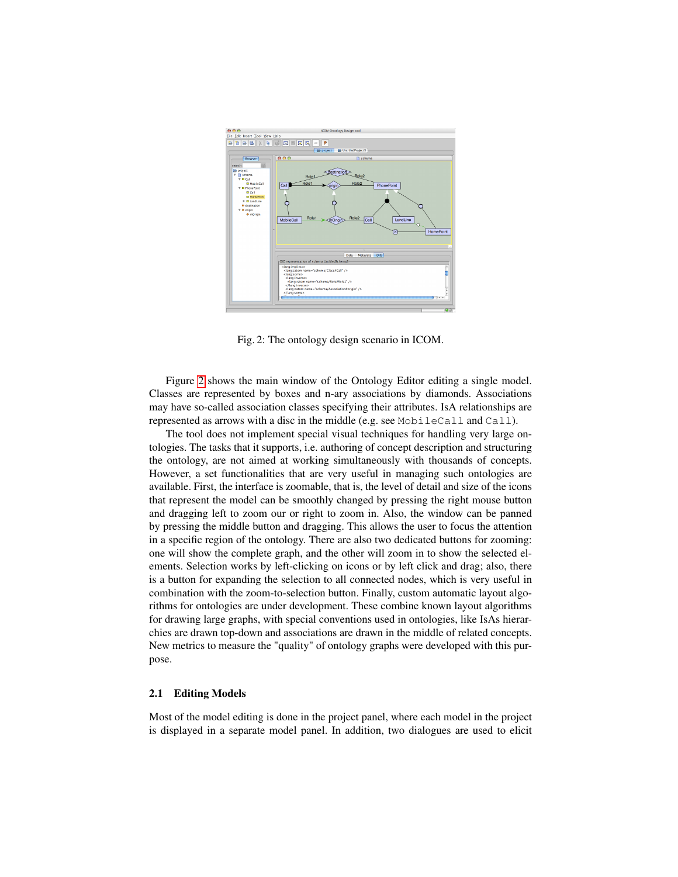<span id="page-3-0"></span>

Fig. 2: The ontology design scenario in ICOM.

Figure [2](#page-3-0) shows the main window of the Ontology Editor editing a single model. Classes are represented by boxes and n-ary associations by diamonds. Associations may have so-called association classes specifying their attributes. IsA relationships are represented as arrows with a disc in the middle (e.g. see MobileCall and Call).

The tool does not implement special visual techniques for handling very large ontologies. The tasks that it supports, i.e. authoring of concept description and structuring the ontology, are not aimed at working simultaneously with thousands of concepts. However, a set functionalities that are very useful in managing such ontologies are available. First, the interface is zoomable, that is, the level of detail and size of the icons that represent the model can be smoothly changed by pressing the right mouse button and dragging left to zoom our or right to zoom in. Also, the window can be panned by pressing the middle button and dragging. This allows the user to focus the attention in a specific region of the ontology. There are also two dedicated buttons for zooming: one will show the complete graph, and the other will zoom in to show the selected elements. Selection works by left-clicking on icons or by left click and drag; also, there is a button for expanding the selection to all connected nodes, which is very useful in combination with the zoom-to-selection button. Finally, custom automatic layout algorithms for ontologies are under development. These combine known layout algorithms for drawing large graphs, with special conventions used in ontologies, like IsAs hierarchies are drawn top-down and associations are drawn in the middle of related concepts. New metrics to measure the "quality" of ontology graphs were developed with this purpose.

### 2.1 Editing Models

Most of the model editing is done in the project panel, where each model in the project is displayed in a separate model panel. In addition, two dialogues are used to elicit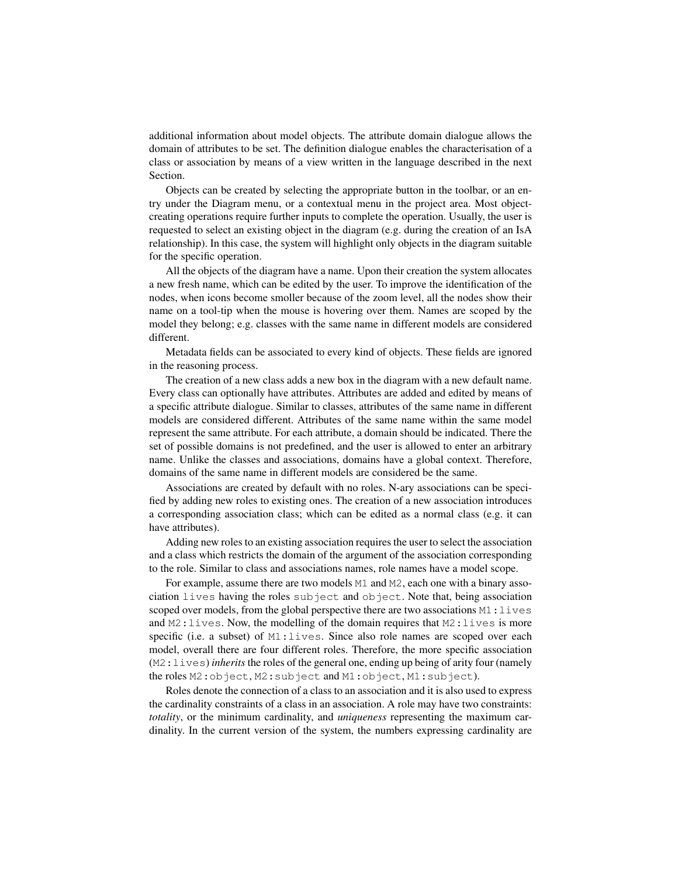additional information about model objects. The attribute domain dialogue allows the domain of attributes to be set. The definition dialogue enables the characterisation of a class or association by means of a view written in the language described in the next Section.

Objects can be created by selecting the appropriate button in the toolbar, or an entry under the Diagram menu, or a contextual menu in the project area. Most objectcreating operations require further inputs to complete the operation. Usually, the user is requested to select an existing object in the diagram (e.g. during the creation of an IsA relationship). In this case, the system will highlight only objects in the diagram suitable for the specific operation.

All the objects of the diagram have a name. Upon their creation the system allocates a new fresh name, which can be edited by the user. To improve the identification of the nodes, when icons become smoller because of the zoom level, all the nodes show their name on a tool-tip when the mouse is hovering over them. Names are scoped by the model they belong; e.g. classes with the same name in different models are considered different.

Metadata fields can be associated to every kind of objects. These fields are ignored in the reasoning process.

The creation of a new class adds a new box in the diagram with a new default name. Every class can optionally have attributes. Attributes are added and edited by means of a specific attribute dialogue. Similar to classes, attributes of the same name in different models are considered different. Attributes of the same name within the same model represent the same attribute. For each attribute, a domain should be indicated. There the set of possible domains is not predefined, and the user is allowed to enter an arbitrary name. Unlike the classes and associations, domains have a global context. Therefore, domains of the same name in different models are considered be the same.

Associations are created by default with no roles. N-ary associations can be specified by adding new roles to existing ones. The creation of a new association introduces a corresponding association class; which can be edited as a normal class (e.g. it can have attributes).

Adding new roles to an existing association requires the user to select the association and a class which restricts the domain of the argument of the association corresponding to the role. Similar to class and associations names, role names have a model scope.

For example, assume there are two models M1 and M2, each one with a binary association lives having the roles subject and object. Note that, being association scoped over models, from the global perspective there are two associations M1:lives and M2:lives. Now, the modelling of the domain requires that M2:lives is more specific (i.e. a subset) of M1: lives. Since also role names are scoped over each model, overall there are four different roles. Therefore, the more specific association (M2:lives) *inherits* the roles of the general one, ending up being of arity four (namely the roles M2:object, M2:subject and M1:object, M1:subject).

Roles denote the connection of a class to an association and it is also used to express the cardinality constraints of a class in an association. A role may have two constraints: *totality*, or the minimum cardinality, and *uniqueness* representing the maximum cardinality. In the current version of the system, the numbers expressing cardinality are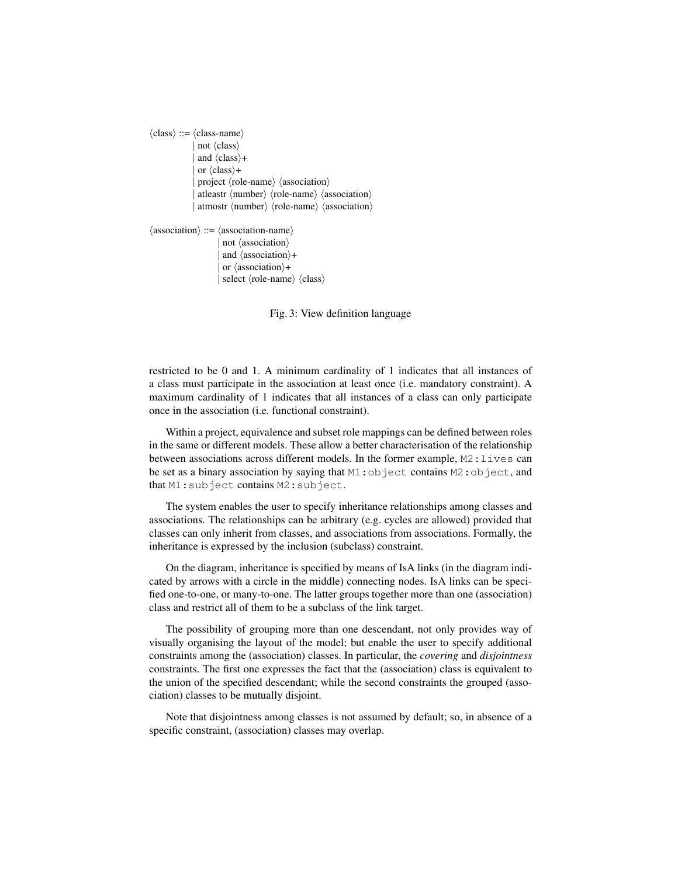```
\langle class \rangle ::= \langle class-name \ranglenot \langle class \rangleand \langle class \rangle +or \langle class \rangle +project \langle role-name\rangle \langle association\rangleatleastr \langle number\rangle \langle role-name\rangle \langle association\rangleatmostr \langle number \rangle \langle role-name \rangle \langle association \rangle\langle association\rangle ::= \langle association-name\rangle| not (association)
                   | and \langle association\rangle+
```
 $|$  or  $\langle$  association $\rangle+$  $|$  select  $\langle$ role-name $\rangle$   $\langle$ class $\rangle$ 

Fig. 3: View definition language

restricted to be 0 and 1. A minimum cardinality of 1 indicates that all instances of a class must participate in the association at least once (i.e. mandatory constraint). A maximum cardinality of 1 indicates that all instances of a class can only participate once in the association (i.e. functional constraint).

Within a project, equivalence and subset role mappings can be defined between roles in the same or different models. These allow a better characterisation of the relationship between associations across different models. In the former example,  $M2:$ lives can be set as a binary association by saying that M1:object contains M2:object, and that M1:subject contains M2:subject.

The system enables the user to specify inheritance relationships among classes and associations. The relationships can be arbitrary (e.g. cycles are allowed) provided that classes can only inherit from classes, and associations from associations. Formally, the inheritance is expressed by the inclusion (subclass) constraint.

On the diagram, inheritance is specified by means of IsA links (in the diagram indicated by arrows with a circle in the middle) connecting nodes. IsA links can be specified one-to-one, or many-to-one. The latter groups together more than one (association) class and restrict all of them to be a subclass of the link target.

The possibility of grouping more than one descendant, not only provides way of visually organising the layout of the model; but enable the user to specify additional constraints among the (association) classes. In particular, the *covering* and *disjointness* constraints. The first one expresses the fact that the (association) class is equivalent to the union of the specified descendant; while the second constraints the grouped (association) classes to be mutually disjoint.

Note that disjointness among classes is not assumed by default; so, in absence of a specific constraint, (association) classes may overlap.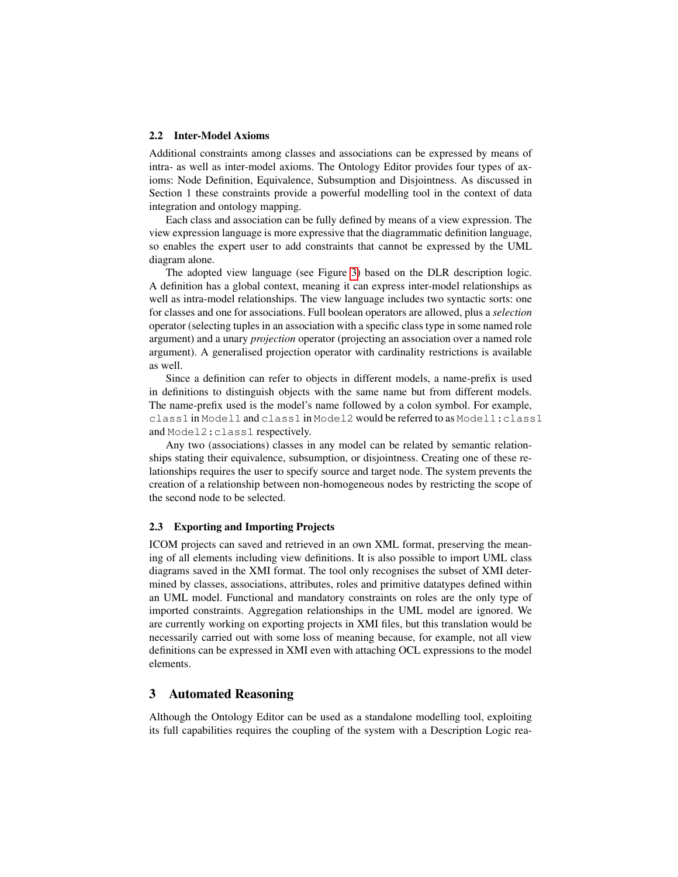#### 2.2 Inter-Model Axioms

Additional constraints among classes and associations can be expressed by means of intra- as well as inter-model axioms. The Ontology Editor provides four types of axioms: Node Definition, Equivalence, Subsumption and Disjointness. As discussed in Section 1 these constraints provide a powerful modelling tool in the context of data integration and ontology mapping.

Each class and association can be fully defined by means of a view expression. The view expression language is more expressive that the diagrammatic definition language, so enables the expert user to add constraints that cannot be expressed by the UML diagram alone.

The adopted view language (see Figure [3\)](#page-5-0) based on the DLR description logic. A definition has a global context, meaning it can express inter-model relationships as well as intra-model relationships. The view language includes two syntactic sorts: one for classes and one for associations. Full boolean operators are allowed, plus a *selection* operator (selecting tuples in an association with a specific class type in some named role argument) and a unary *projection* operator (projecting an association over a named role argument). A generalised projection operator with cardinality restrictions is available as well.

Since a definition can refer to objects in different models, a name-prefix is used in definitions to distinguish objects with the same name but from different models. The name-prefix used is the model's name followed by a colon symbol. For example, class1 in Model1 and class1 in Model2 would be referred to as Model1:class1 and Model2:class1 respectively.

Any two (associations) classes in any model can be related by semantic relationships stating their equivalence, subsumption, or disjointness. Creating one of these relationships requires the user to specify source and target node. The system prevents the creation of a relationship between non-homogeneous nodes by restricting the scope of the second node to be selected.

#### 2.3 Exporting and Importing Projects

ICOM projects can saved and retrieved in an own XML format, preserving the meaning of all elements including view definitions. It is also possible to import UML class diagrams saved in the XMI format. The tool only recognises the subset of XMI determined by classes, associations, attributes, roles and primitive datatypes defined within an UML model. Functional and mandatory constraints on roles are the only type of imported constraints. Aggregation relationships in the UML model are ignored. We are currently working on exporting projects in XMI files, but this translation would be necessarily carried out with some loss of meaning because, for example, not all view definitions can be expressed in XMI even with attaching OCL expressions to the model elements.

## 3 Automated Reasoning

Although the Ontology Editor can be used as a standalone modelling tool, exploiting its full capabilities requires the coupling of the system with a Description Logic rea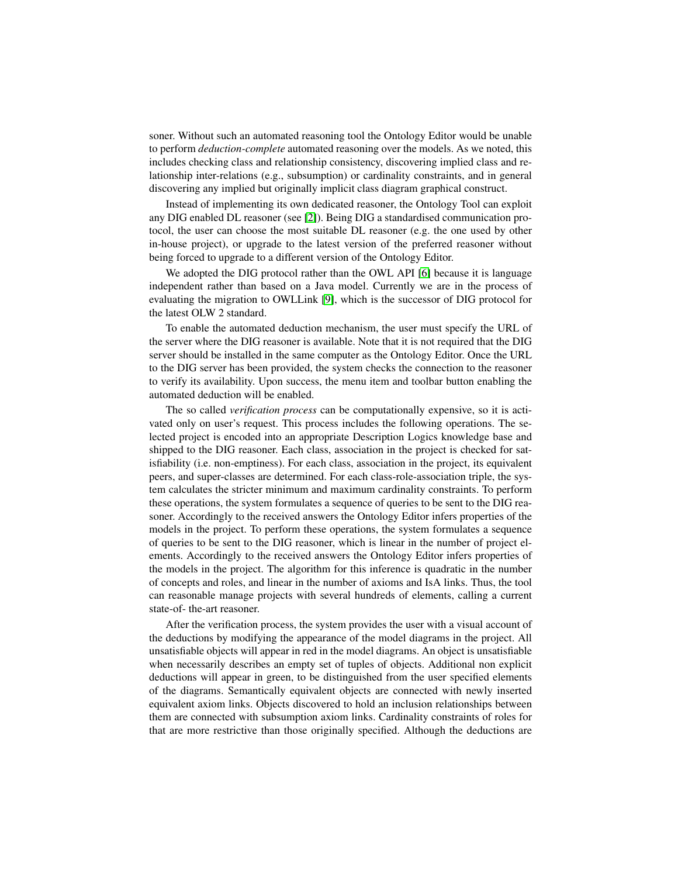soner. Without such an automated reasoning tool the Ontology Editor would be unable to perform *deduction-complete* automated reasoning over the models. As we noted, this includes checking class and relationship consistency, discovering implied class and relationship inter-relations (e.g., subsumption) or cardinality constraints, and in general discovering any implied but originally implicit class diagram graphical construct.

Instead of implementing its own dedicated reasoner, the Ontology Tool can exploit any DIG enabled DL reasoner (see [\[2\]](#page-9-6)). Being DIG a standardised communication protocol, the user can choose the most suitable DL reasoner (e.g. the one used by other in-house project), or upgrade to the latest version of the preferred reasoner without being forced to upgrade to a different version of the Ontology Editor.

We adopted the DIG protocol rather than the OWL API [\[6\]](#page-9-7) because it is language independent rather than based on a Java model. Currently we are in the process of evaluating the migration to OWLLink [\[9\]](#page-9-8), which is the successor of DIG protocol for the latest OLW 2 standard.

To enable the automated deduction mechanism, the user must specify the URL of the server where the DIG reasoner is available. Note that it is not required that the DIG server should be installed in the same computer as the Ontology Editor. Once the URL to the DIG server has been provided, the system checks the connection to the reasoner to verify its availability. Upon success, the menu item and toolbar button enabling the automated deduction will be enabled.

The so called *verification process* can be computationally expensive, so it is activated only on user's request. This process includes the following operations. The selected project is encoded into an appropriate Description Logics knowledge base and shipped to the DIG reasoner. Each class, association in the project is checked for satisfiability (i.e. non-emptiness). For each class, association in the project, its equivalent peers, and super-classes are determined. For each class-role-association triple, the system calculates the stricter minimum and maximum cardinality constraints. To perform these operations, the system formulates a sequence of queries to be sent to the DIG reasoner. Accordingly to the received answers the Ontology Editor infers properties of the models in the project. To perform these operations, the system formulates a sequence of queries to be sent to the DIG reasoner, which is linear in the number of project elements. Accordingly to the received answers the Ontology Editor infers properties of the models in the project. The algorithm for this inference is quadratic in the number of concepts and roles, and linear in the number of axioms and IsA links. Thus, the tool can reasonable manage projects with several hundreds of elements, calling a current state-of- the-art reasoner.

After the verification process, the system provides the user with a visual account of the deductions by modifying the appearance of the model diagrams in the project. All unsatisfiable objects will appear in red in the model diagrams. An object is unsatisfiable when necessarily describes an empty set of tuples of objects. Additional non explicit deductions will appear in green, to be distinguished from the user specified elements of the diagrams. Semantically equivalent objects are connected with newly inserted equivalent axiom links. Objects discovered to hold an inclusion relationships between them are connected with subsumption axiom links. Cardinality constraints of roles for that are more restrictive than those originally specified. Although the deductions are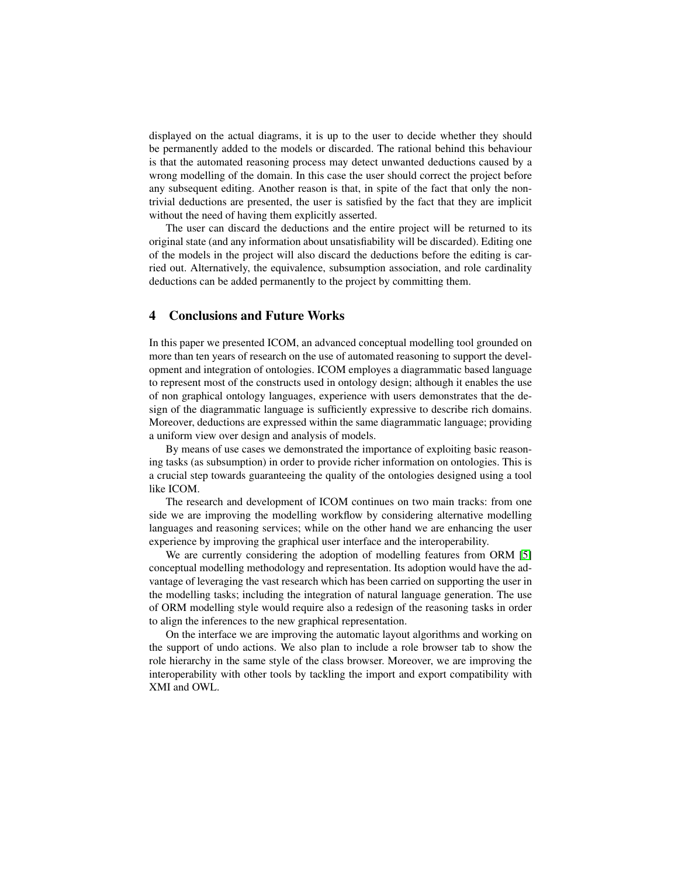displayed on the actual diagrams, it is up to the user to decide whether they should be permanently added to the models or discarded. The rational behind this behaviour is that the automated reasoning process may detect unwanted deductions caused by a wrong modelling of the domain. In this case the user should correct the project before any subsequent editing. Another reason is that, in spite of the fact that only the nontrivial deductions are presented, the user is satisfied by the fact that they are implicit without the need of having them explicitly asserted.

The user can discard the deductions and the entire project will be returned to its original state (and any information about unsatisfiability will be discarded). Editing one of the models in the project will also discard the deductions before the editing is carried out. Alternatively, the equivalence, subsumption association, and role cardinality deductions can be added permanently to the project by committing them.

## 4 Conclusions and Future Works

In this paper we presented ICOM, an advanced conceptual modelling tool grounded on more than ten years of research on the use of automated reasoning to support the development and integration of ontologies. ICOM employes a diagrammatic based language to represent most of the constructs used in ontology design; although it enables the use of non graphical ontology languages, experience with users demonstrates that the design of the diagrammatic language is sufficiently expressive to describe rich domains. Moreover, deductions are expressed within the same diagrammatic language; providing a uniform view over design and analysis of models.

By means of use cases we demonstrated the importance of exploiting basic reasoning tasks (as subsumption) in order to provide richer information on ontologies. This is a crucial step towards guaranteeing the quality of the ontologies designed using a tool like ICOM.

The research and development of ICOM continues on two main tracks: from one side we are improving the modelling workflow by considering alternative modelling languages and reasoning services; while on the other hand we are enhancing the user experience by improving the graphical user interface and the interoperability.

We are currently considering the adoption of modelling features from ORM [\[5\]](#page-9-0) conceptual modelling methodology and representation. Its adoption would have the advantage of leveraging the vast research which has been carried on supporting the user in the modelling tasks; including the integration of natural language generation. The use of ORM modelling style would require also a redesign of the reasoning tasks in order to align the inferences to the new graphical representation.

On the interface we are improving the automatic layout algorithms and working on the support of undo actions. We also plan to include a role browser tab to show the role hierarchy in the same style of the class browser. Moreover, we are improving the interoperability with other tools by tackling the import and export compatibility with XMI and OWL.